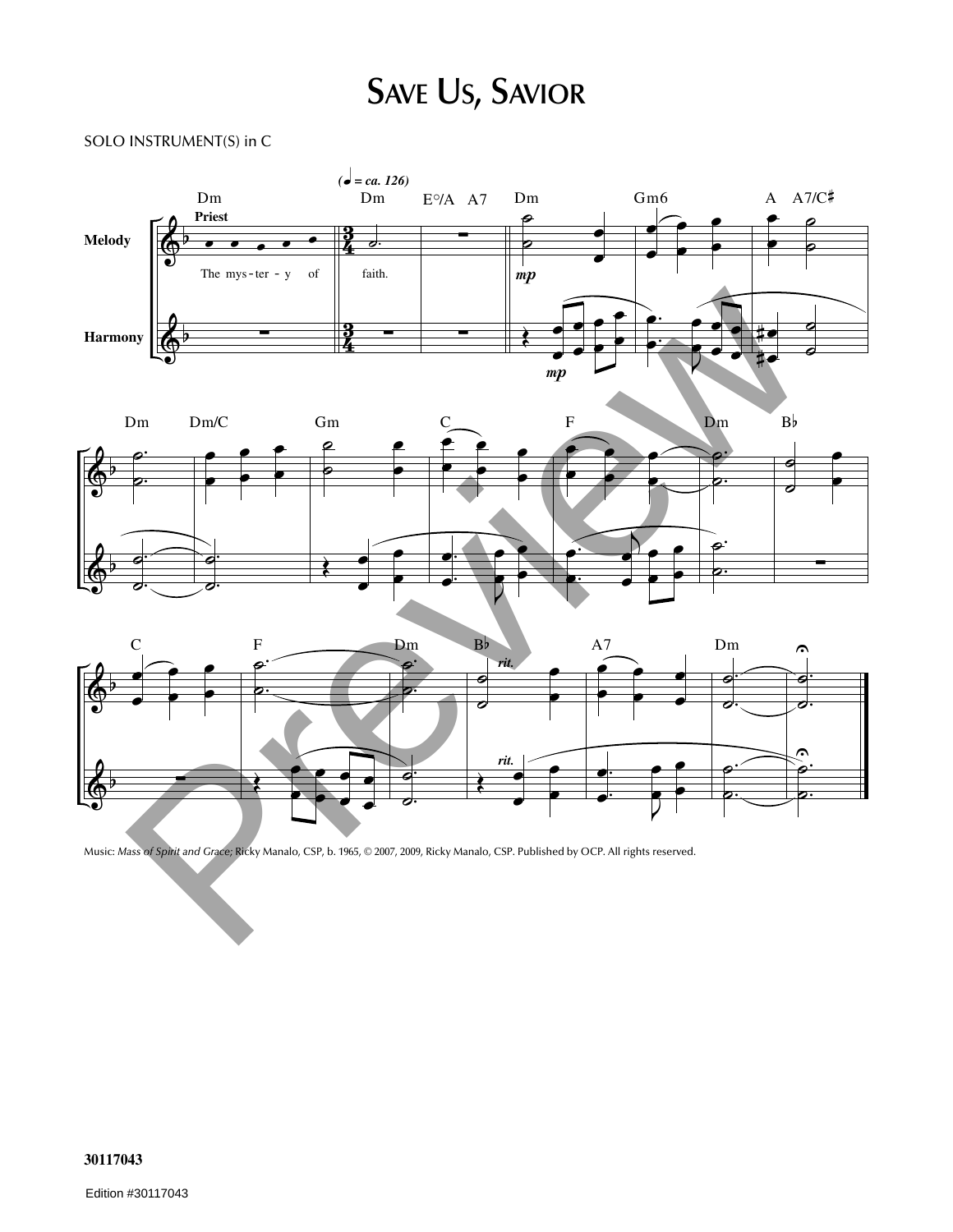## **SAVE US, SAVIOR**

## SOLO INSTRUMENT(S) in C







Music: *Mass of Spirit and Grace;* Ricky Manalo, CSP, b. 1965, © 2007, 2009, Ricky Manalo, CSP. Published by OCP. All rights reserved.